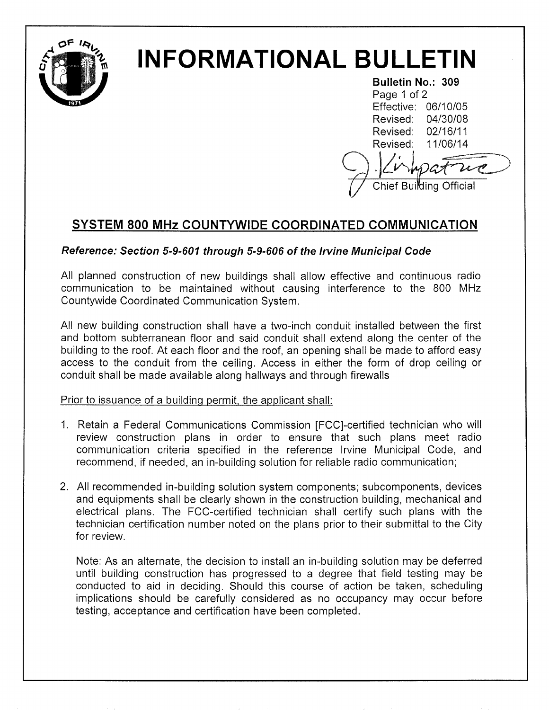

# INFORMATIONAL BULLETIN

Bulletin No.: 309 Page 1 of 2 Effective: 06/10/05 Revised: 04130108 Revised: 02/16/11 Revised: <sup>11106114</sup> Chief Building Official

# SYSTEM 800 MHz COUNTYWIDE COORDINATED COMMUNICATION

## Reference: Section 5-9-601 through 5-9-606 of the Irvine Municipal Code

All planned construction of new buildings shall allow effective and continuous radio communication to be maintained without causing interference to the 800 MHz Countywide Coordinated Communication System.

All new building construction shall have a two-inch conduit installed between the first and bottom subterranean floor and said conduit shall extend along the center of the building to the roof. At each floor and the roof, an opening shall be made to afiord easy access to the conduit from the ceiling. Access in either the form of drop ceiling or conduit shall be made available along hallways and through firewalls

Prior to íssuance of a buildinq permit. the applicant shall:

- 1. Retain a Federal Communications Commission [FCC]-certified technician who will review construction plans in order to ensure that such plans meet radio communication criteria specified in the reference lrvine Municipal Code, and recommend, if needed, an in-building solution for reliable radio communication;
- 2. All recommended in-building solution system components; subcomponents, devices and equipments shall be clearly shown in the construction building, mechanical and electrical plans. The FCC-certified technician shall certify such plans with the technician certification number noted on the plans prior to their submittal to the City for review.

Note: As an alternate, the decision to install an in-building solution may be deferred until building construction has progressed to a degree that field testing may be conducted to aid in deciding. Should this course of action be taken, scheduling implications should be carefully considered as no occupancy may occur before testing, acceptance and certification have been completed.